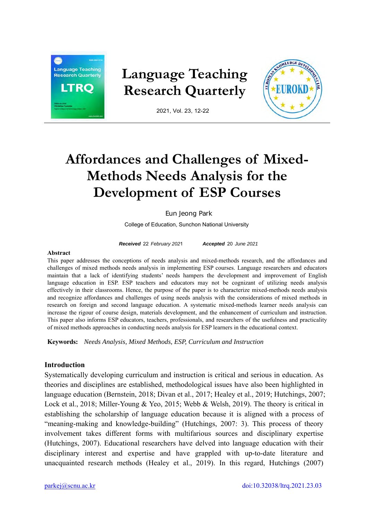

# **Language Teaching Research Quarterly**



2021, Vol. 23, 12-22

# **Affordances and Challenges of Mixed-Methods Needs Analysis for the Development of ESP Courses**

Eun Jeong Park

College of Education, Sunchon National University

*Received* 22 *February 202*1 *Accepted* 20 *June 2021*

#### **Abstract**

This paper addresses the conceptions of needs analysis and mixed-methods research, and the affordances and challenges of mixed methods needs analysis in implementing ESP courses. Language researchers and educators maintain that a lack of identifying students' needs hampers the development and improvement of English language education in ESP. ESP teachers and educators may not be cognizant of utilizing needs analysis effectively in their classrooms. Hence, the purpose of the paper is to characterize mixed-methods needs analysis and recognize affordances and challenges of using needs analysis with the considerations of mixed methods in research on foreign and second language education. A systematic mixed-methods learner needs analysis can increase the rigour of course design, materials development, and the enhancement of curriculum and instruction. This paper also informs ESP educators, teachers, professionals, and researchers of the usefulness and practicality of mixed methods approaches in conducting needs analysis for ESP learners in the educational context.

**Keywords:** *Needs Analysis, Mixed Methods, ESP, Curriculum and Instruction*

# **Introduction**

Systematically developing curriculum and instruction is critical and serious in education. As theories and disciplines are established, methodological issues have also been highlighted in language education (Bernstein, 2018; Divan et al., 2017; Healey et al., 2019; Hutchings, 2007; Lock et al., 2018; Miller-Young & Yeo, 2015; Webb & Welsh, 2019). The theory is critical in establishing the scholarship of language education because it is aligned with a process of "meaning-making and knowledge-building" (Hutchings, 2007: 3). This process of theory involvement takes different forms with multifarious sources and disciplinary expertise (Hutchings, 2007). Educational researchers have delved into language education with their disciplinary interest and expertise and have grappled with up-to-date literature and unacquainted research methods (Healey et al., 2019). In this regard, Hutchings (2007)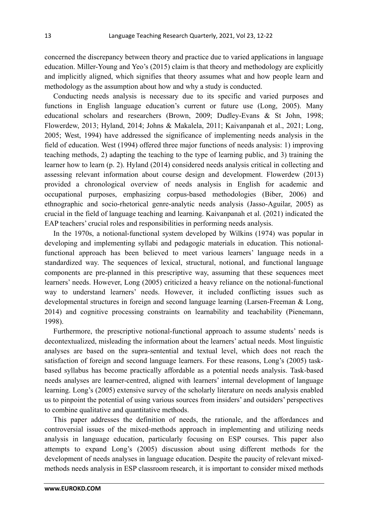concerned the discrepancy between theory and practice due to varied applications in language education. Miller-Young and Yeo's (2015) claim is that theory and methodology are explicitly and implicitly aligned, which signifies that theory assumes what and how people learn and methodology as the assumption about how and why a study is conducted.

Conducting needs analysis is necessary due to its specific and varied purposes and functions in English language education's current or future use (Long, 2005). Many educational scholars and researchers (Brown, 2009; Dudley-Evans & St John, 1998; Flowerdew, 2013; Hyland, 2014; Johns & Makalela, 2011; Kaivanpanah et al., 2021; Long, 2005; West, 1994) have addressed the significance of implementing needs analysis in the field of education. West (1994) offered three major functions of needs analysis: 1) improving teaching methods, 2) adapting the teaching to the type of learning public, and 3) training the learner how to learn (p. 2). Hyland (2014) considered needs analysis critical in collecting and assessing relevant information about course design and development. Flowerdew (2013) provided a chronological overview of needs analysis in English for academic and occupational purposes, emphasizing corpus-based methodologies (Biber, 2006) and ethnographic and socio-rhetorical genre-analytic needs analysis (Jasso-Aguilar, 2005) as crucial in the field of language teaching and learning. Kaivanpanah et al. (2021) indicated the EAP teachers' crucial roles and responsibilities in performing needs analysis.

In the 1970s, a notional-functional system developed by Wilkins (1974) was popular in developing and implementing syllabi and pedagogic materials in education. This notionalfunctional approach has been believed to meet various learners' language needs in a standardized way. The sequences of lexical, structural, notional, and functional language components are pre-planned in this prescriptive way, assuming that these sequences meet learners' needs. However, Long (2005) criticized a heavy reliance on the notional-functional way to understand learners' needs. However, it included conflicting issues such as developmental structures in foreign and second language learning (Larsen-Freeman & Long, 2014) and cognitive processing constraints on learnability and teachability (Pienemann, 1998).

Furthermore, the prescriptive notional-functional approach to assume students' needs is decontextualized, misleading the information about the learners' actual needs. Most linguistic analyses are based on the supra-sentential and textual level, which does not reach the satisfaction of foreign and second language learners. For these reasons, Long's (2005) taskbased syllabus has become practically affordable as a potential needs analysis. Task-based needs analyses are learner-centred, aligned with learners' internal development of language learning. Long's (2005) extensive survey of the scholarly literature on needs analysis enabled us to pinpoint the potential of using various sources from insiders' and outsiders' perspectives to combine qualitative and quantitative methods.

This paper addresses the definition of needs, the rationale, and the affordances and controversial issues of the mixed-methods approach in implementing and utilizing needs analysis in language education, particularly focusing on ESP courses. This paper also attempts to expand Long's (2005) discussion about using different methods for the development of needs analyses in language education. Despite the paucity of relevant mixedmethods needs analysis in ESP classroom research, it is important to consider mixed methods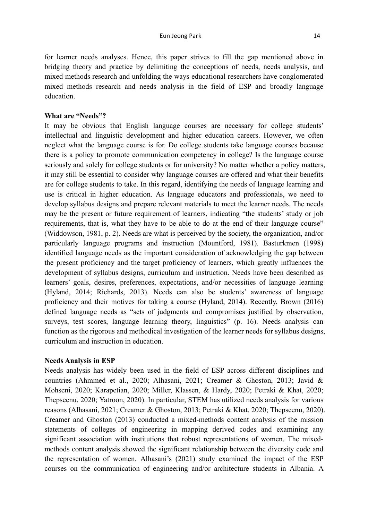for learner needs analyses. Hence, this paper strives to fill the gap mentioned above in bridging theory and practice by delimiting the conceptions of needs, needs analysis, and mixed methods research and unfolding the ways educational researchers have conglomerated mixed methods research and needs analysis in the field of ESP and broadly language education.

# **What are "Needs"?**

It may be obvious that English language courses are necessary for college students' intellectual and linguistic development and higher education careers. However, we often neglect what the language course is for. Do college students take language courses because there is a policy to promote communication competency in college? Is the language course seriously and solely for college students or for university? No matter whether a policy matters, it may still be essential to consider why language courses are offered and what their benefits are for college students to take. In this regard, identifying the needs of language learning and use is critical in higher education. As language educators and professionals, we need to develop syllabus designs and prepare relevant materials to meet the learner needs. The needs may be the present or future requirement of learners, indicating "the students' study or job requirements, that is, what they have to be able to do at the end of their language course" (Widdowson, 1981, p. 2). Needs are what is perceived by the society, the organization, and/or particularly language programs and instruction (Mountford, 1981). Basturkmen (1998) identified language needs as the important consideration of acknowledging the gap between the present proficiency and the target proficiency of learners, which greatly influences the development of syllabus designs, curriculum and instruction. Needs have been described as learners' goals, desires, preferences, expectations, and/or necessities of language learning (Hyland, 2014; Richards, 2013). Needs can also be students' awareness of language proficiency and their motives for taking a course (Hyland, 2014). Recently, Brown (2016) defined language needs as "sets of judgments and compromises justified by observation, surveys, test scores, language learning theory, linguistics" (p. 16). Needs analysis can function as the rigorous and methodical investigation of the learner needs for syllabus designs, curriculum and instruction in education.

# **Needs Analysis in ESP**

Needs analysis has widely been used in the field of ESP across different disciplines and countries (Ahmmed et al., 2020; Alhasani, 2021; Creamer & Ghoston, 2013; Javid & Mohseni, 2020; Karapetian, 2020; Miller, Klassen, & Hardy, 2020; Petraki & Khat, 2020; Thepseenu, 2020; Yatroon, 2020). In particular, STEM has utilized needs analysis for various reasons (Alhasani, 2021; Creamer & Ghoston, 2013; Petraki & Khat, 2020; Thepseenu, 2020). Creamer and Ghoston (2013) conducted a mixed-methods content analysis of the mission statements of colleges of engineering in mapping derived codes and examining any significant association with institutions that robust representations of women. The mixedmethods content analysis showed the significant relationship between the diversity code and the representation of women. Alhasani's (2021) study examined the impact of the ESP courses on the communication of engineering and/or architecture students in Albania. A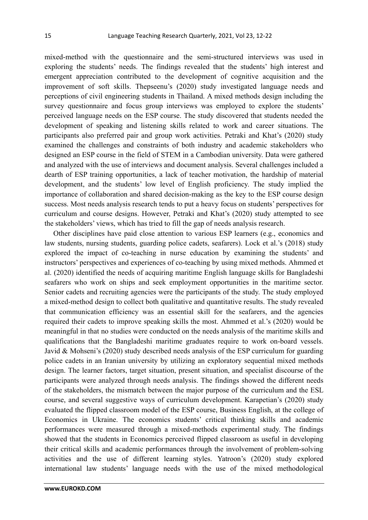mixed-method with the questionnaire and the semi-structured interviews was used in exploring the students' needs. The findings revealed that the students' high interest and emergent appreciation contributed to the development of cognitive acquisition and the improvement of soft skills. Thepseenu's (2020) study investigated language needs and perceptions of civil engineering students in Thailand. A mixed methods design including the survey questionnaire and focus group interviews was employed to explore the students' perceived language needs on the ESP course. The study discovered that students needed the development of speaking and listening skills related to work and career situations. The participants also preferred pair and group work activities. Petraki and Khat's (2020) study examined the challenges and constraints of both industry and academic stakeholders who designed an ESP course in the field of STEM in a Cambodian university. Data were gathered and analyzed with the use of interviews and document analysis. Several challenges included a dearth of ESP training opportunities, a lack of teacher motivation, the hardship of material development, and the students' low level of English proficiency. The study implied the importance of collaboration and shared decision-making as the key to the ESP course design success. Most needs analysis research tends to put a heavy focus on students' perspectives for curriculum and course designs. However, Petraki and Khat's (2020) study attempted to see the stakeholders' views, which has tried to fill the gap of needs analysis research.

Other disciplines have paid close attention to various ESP learners (e.g., economics and law students, nursing students, guarding police cadets, seafarers). Lock et al.'s (2018) study explored the impact of co-teaching in nurse education by examining the students' and instructors' perspectives and experiences of co-teaching by using mixed methods. Ahmmed et al. (2020) identified the needs of acquiring maritime English language skills for Bangladeshi seafarers who work on ships and seek employment opportunities in the maritime sector. Senior cadets and recruiting agencies were the participants of the study. The study employed a mixed-method design to collect both qualitative and quantitative results. The study revealed that communication efficiency was an essential skill for the seafarers, and the agencies required their cadets to improve speaking skills the most. Ahmmed et al.'s (2020) would be meaningful in that no studies were conducted on the needs analysis of the maritime skills and qualifications that the Bangladeshi maritime graduates require to work on-board vessels. Javid & Mohseni's (2020) study described needs analysis of the ESP curriculum for guarding police cadets in an Iranian university by utilizing an exploratory sequential mixed methods design. The learner factors, target situation, present situation, and specialist discourse of the participants were analyzed through needs analysis. The findings showed the different needs of the stakeholders, the mismatch between the major purpose of the curriculum and the ESL course, and several suggestive ways of curriculum development. Karapetian's (2020) study evaluated the flipped classroom model of the ESP course, Business English, at the college of Economics in Ukraine. The economics students' critical thinking skills and academic performances were measured through a mixed-methods experimental study. The findings showed that the students in Economics perceived flipped classroom as useful in developing their critical skills and academic performances through the involvement of problem-solving activities and the use of different learning styles. Yatroon's (2020) study explored international law students' language needs with the use of the mixed methodological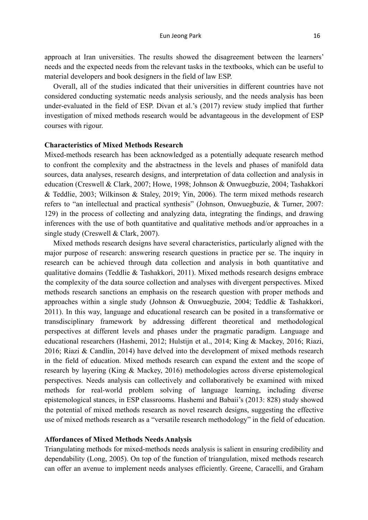approach at Iran universities. The results showed the disagreement between the learners' needs and the expected needs from the relevant tasks in the textbooks, which can be useful to material developers and book designers in the field of law ESP.

Overall, all of the studies indicated that their universities in different countries have not considered conducting systematic needs analysis seriously, and the needs analysis has been under-evaluated in the field of ESP. Divan et al.'s (2017) review study implied that further investigation of mixed methods research would be advantageous in the development of ESP courses with rigour.

# **Characteristics of Mixed Methods Research**

Mixed-methods research has been acknowledged as a potentially adequate research method to confront the complexity and the abstractness in the levels and phases of manifold data sources, data analyses, research designs, and interpretation of data collection and analysis in education (Creswell & Clark, 2007; Howe, 1998; Johnson & Onwuegbuzie, 2004; Tashakkori & Teddlie, 2003; Wilkinson & Staley, 2019; Yin, 2006). The term mixed methods research refers to "an intellectual and practical synthesis" (Johnson, Onwuegbuzie, & Turner, 2007: 129) in the process of collecting and analyzing data, integrating the findings, and drawing inferences with the use of both quantitative and qualitative methods and/or approaches in a single study (Creswell & Clark, 2007).

Mixed methods research designs have several characteristics, particularly aligned with the major purpose of research: answering research questions in practice per se. The inquiry in research can be achieved through data collection and analysis in both quantitative and qualitative domains (Teddlie & Tashakkori, 2011). Mixed methods research designs embrace the complexity of the data source collection and analyses with divergent perspectives. Mixed methods research sanctions an emphasis on the research question with proper methods and approaches within a single study (Johnson & Onwuegbuzie, 2004; Teddlie & Tashakkori, 2011). In this way, language and educational research can be posited in a transformative or transdisciplinary framework by addressing different theoretical and methodological perspectives at different levels and phases under the pragmatic paradigm. Language and educational researchers (Hashemi, 2012; Hulstijn et al., 2014; King & Mackey, 2016; Riazi, 2016; Riazi & Candlin, 2014) have delved into the development of mixed methods research in the field of education. Mixed methods research can expand the extent and the scope of research by layering (King & Mackey, 2016) methodologies across diverse epistemological perspectives. Needs analysis can collectively and collaboratively be examined with mixed methods for real-world problem solving of language learning, including diverse epistemological stances, in ESP classrooms. Hashemi and Babaii's (2013: 828) study showed the potential of mixed methods research as novel research designs, suggesting the effective use of mixed methods research as a "versatile research methodology" in the field of education.

## **Affordances of Mixed Methods Needs Analysis**

Triangulating methods for mixed-methods needs analysis is salient in ensuring credibility and dependability (Long, 2005). On top of the function of triangulation, mixed methods research can offer an avenue to implement needs analyses efficiently. Greene, Caracelli, and Graham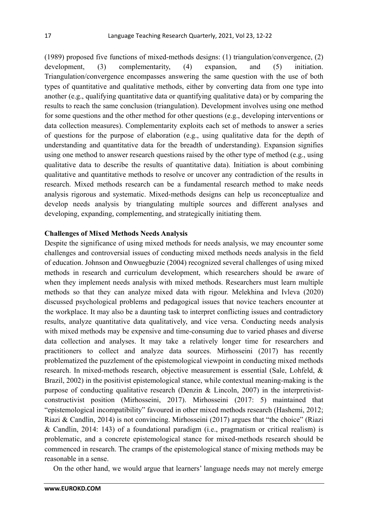(1989) proposed five functions of mixed-methods designs: (1) triangulation/convergence, (2) development, (3) complementarity, (4) expansion, and (5) initiation. Triangulation/convergence encompasses answering the same question with the use of both types of quantitative and qualitative methods, either by converting data from one type into another (e.g., qualifying quantitative data or quantifying qualitative data) or by comparing the results to reach the same conclusion (triangulation). Development involves using one method for some questions and the other method for other questions (e.g., developing interventions or data collection measures). Complementarity exploits each set of methods to answer a series of questions for the purpose of elaboration (e.g., using qualitative data for the depth of understanding and quantitative data for the breadth of understanding). Expansion signifies using one method to answer research questions raised by the other type of method (e.g., using qualitative data to describe the results of quantitative data). Initiation is about combining qualitative and quantitative methods to resolve or uncover any contradiction of the results in research. Mixed methods research can be a fundamental research method to make needs analysis rigorous and systematic. Mixed-methods designs can help us reconceptualize and develop needs analysis by triangulating multiple sources and different analyses and developing, expanding, complementing, and strategically initiating them.

# **Challenges of Mixed Methods Needs Analysis**

Despite the significance of using mixed methods for needs analysis, we may encounter some challenges and controversial issues of conducting mixed methods needs analysis in the field of education. Johnson and Onwuegbuzie (2004) recognized several challenges of using mixed methods in research and curriculum development, which researchers should be aware of when they implement needs analysis with mixed methods. Researchers must learn multiple methods so that they can analyze mixed data with rigour. Melekhina and Ivleva (2020) discussed psychological problems and pedagogical issues that novice teachers encounter at the workplace. It may also be a daunting task to interpret conflicting issues and contradictory results, analyze quantitative data qualitatively, and vice versa. Conducting needs analysis with mixed methods may be expensive and time-consuming due to varied phases and diverse data collection and analyses. It may take a relatively longer time for researchers and practitioners to collect and analyze data sources. Mirhosseini (2017) has recently problematized the puzzlement of the epistemological viewpoint in conducting mixed methods research. In mixed-methods research, objective measurement is essential (Sale, Lohfeld, & Brazil, 2002) in the positivist epistemological stance, while contextual meaning-making is the purpose of conducting qualitative research (Denzin  $& Lincoln, 2007$ ) in the interpretivistconstructivist position (Mirhosseini, 2017). Mirhosseini (2017: 5) maintained that "epistemological incompatibility" favoured in other mixed methods research (Hashemi, 2012; Riazi & Candlin, 2014) is not convincing. Mirhosseini (2017) argues that "the choice" (Riazi & Candlin, 2014: 143) of a foundational paradigm (i.e., pragmatism or critical realism) is problematic, and a concrete epistemological stance for mixed-methods research should be commenced in research. The cramps of the epistemological stance of mixing methods may be reasonable in a sense.

On the other hand, we would argue that learners' language needs may not merely emerge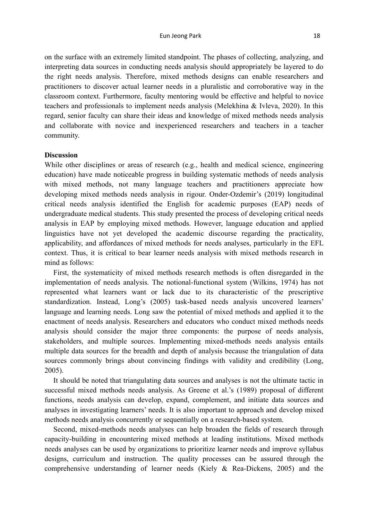on the surface with an extremely limited standpoint. The phases of collecting, analyzing, and interpreting data sources in conducting needs analysis should appropriately be layered to do the right needs analysis. Therefore, mixed methods designs can enable researchers and practitioners to discover actual learner needs in a pluralistic and corroborative way in the classroom context. Furthermore, faculty mentoring would be effective and helpful to novice teachers and professionals to implement needs analysis (Melekhina & Ivleva, 2020). In this regard, senior faculty can share their ideas and knowledge of mixed methods needs analysis and collaborate with novice and inexperienced researchers and teachers in a teacher community.

# **Discussion**

While other disciplines or areas of research (e.g., health and medical science, engineering education) have made noticeable progress in building systematic methods of needs analysis with mixed methods, not many language teachers and practitioners appreciate how developing mixed methods needs analysis in rigour. Onder-Ozdemir's (2019) longitudinal critical needs analysis identified the English for academic purposes (EAP) needs of undergraduate medical students. This study presented the process of developing critical needs analysis in EAP by employing mixed methods. However, language education and applied linguistics have not yet developed the academic discourse regarding the practicality, applicability, and affordances of mixed methods for needs analyses, particularly in the EFL context. Thus, it is critical to bear learner needs analysis with mixed methods research in mind as follows:

First, the systematicity of mixed methods research methods is often disregarded in the implementation of needs analysis. The notional-functional system (Wilkins, 1974) has not represented what learners want or lack due to its characteristic of the prescriptive standardization. Instead, Long's (2005) task-based needs analysis uncovered learners' language and learning needs. Long saw the potential of mixed methods and applied it to the enactment of needs analysis. Researchers and educators who conduct mixed methods needs analysis should consider the major three components: the purpose of needs analysis, stakeholders, and multiple sources. Implementing mixed-methods needs analysis entails multiple data sources for the breadth and depth of analysis because the triangulation of data sources commonly brings about convincing findings with validity and credibility (Long, 2005).

It should be noted that triangulating data sources and analyses is not the ultimate tactic in successful mixed methods needs analysis. As Greene et al.'s (1989) proposal of different functions, needs analysis can develop, expand, complement, and initiate data sources and analyses in investigating learners' needs. It is also important to approach and develop mixed methods needs analysis concurrently or sequentially on a research-based system.

Second, mixed-methods needs analyses can help broaden the fields of research through capacity-building in encountering mixed methods at leading institutions. Mixed methods needs analyses can be used by organizations to prioritize learner needs and improve syllabus designs, curriculum and instruction. The quality processes can be assured through the comprehensive understanding of learner needs (Kiely & Rea-Dickens, 2005) and the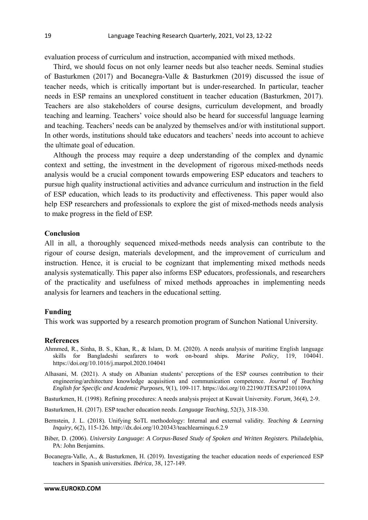evaluation process of curriculum and instruction, accompanied with mixed methods.

Third, we should focus on not only learner needs but also teacher needs. Seminal studies of Basturkmen (2017) and Bocanegra-Valle & Basturkmen (2019) discussed the issue of teacher needs, which is critically important but is under-researched. In particular, teacher needs in ESP remains an unexplored constituent in teacher education (Basturkmen, 2017). Teachers are also stakeholders of course designs, curriculum development, and broadly teaching and learning. Teachers' voice should also be heard for successful language learning and teaching. Teachers' needs can be analyzed by themselves and/or with institutional support. In other words, institutions should take educators and teachers' needs into account to achieve the ultimate goal of education.

Although the process may require a deep understanding of the complex and dynamic context and setting, the investment in the development of rigorous mixed-methods needs analysis would be a crucial component towards empowering ESP educators and teachers to pursue high quality instructional activities and advance curriculum and instruction in the field of ESP education, which leads to its productivity and effectiveness. This paper would also help ESP researchers and professionals to explore the gist of mixed-methods needs analysis to make progress in the field of ESP.

# **Conclusion**

All in all, a thoroughly sequenced mixed-methods needs analysis can contribute to the rigour of course design, materials development, and the improvement of curriculum and instruction. Hence, it is crucial to be cognizant that implementing mixed methods needs analysis systematically. This paper also informs ESP educators, professionals, and researchers of the practicality and usefulness of mixed methods approaches in implementing needs analysis for learners and teachers in the educational setting.

# **Funding**

This work was supported by a research promotion program of Sunchon National University.

#### **References**

- Ahmmed, R., Sinha, B. S., Khan, R., & Islam, D. M. (2020). A needs analysis of maritime English language skills for Bangladeshi seafarers to work on-board ships. *Marine Policy*, 119, 104041. https://doi.org/10.1016/j.marpol.2020.104041
- Alhasani, M. (2021). A study on Albanian students' perceptions of the ESP courses contribution to their engineering/architecture knowledge acquisition and communication competence. *Journal of Teaching English for Specific and Academic Purposes*, 9(1), 109-117. https://doi.org/10.22190/JTESAP2101109A

Basturkmen, H. (1998). Refining procedures: A needs analysis project at Kuwait University. *Forum,* 36(4), 2-9.

- Basturkmen, H. (2017). ESP teacher education needs. *Language Teaching*, 52(3), 318-330.
- Bernstein, J. L. (2018). Unifying SoTL methodology: Internal and external validity. *Teaching & Learning Inquiry*, 6(2), 115-126. http://dx.doi.org/10.20343/teachlearninqu.6.2.9
- Biber, D. (2006). *University Language: A Corpus-Based Study of Spoken and Written Registers.* Philadelphia, PA: John Benjamins.
- Bocanegra-Valle, A., & Basturkmen, H. (2019). Investigating the teacher education needs of experienced ESP teachers in Spanish universities. *Ibérica*, 38, 127-149.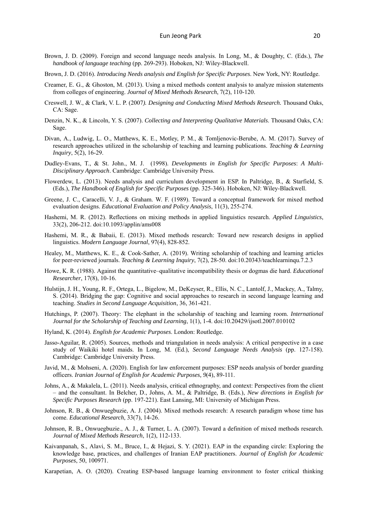- Brown, J. D. (2009). Foreign and second language needs analysis. In Long, M., & Doughty, C. (Eds.), *The handbook of language teaching* (pp. 269-293). Hoboken, NJ: Wiley-Blackwell.
- Brown, J. D. (2016). *Introducing Needs analysis and English for Specific Purposes*. New York, NY: Routledge.
- Creamer, E. G., & Ghoston, M. (2013). Using a mixed methods content analysis to analyze mission statements from colleges of engineering. *Journal of Mixed Methods Research*, 7(2), 110-120.
- Creswell, J. W., & Clark, V. L. P. (2007*). Designing and Conducting Mixed Methods Research.* Thousand Oaks, CA: Sage.
- Denzin, N. K., & Lincoln, Y. S. (2007). *Collecting and Interpreting Qualitative Materials*. Thousand Oaks, CA: Sage.
- Divan, A., Ludwig, L. O., Matthews, K. E., Motley, P. M., & Tomljenovic-Berube, A. M. (2017). Survey of research approaches utilized in the scholarship of teaching and learning publications. *Teaching & Learning Inquiry*, 5(2), 16-29.
- Dudley-Evans, T., & St. John., M. J. (1998). *Developments in English for Specific Purposes*: *A Multi-Disciplinary Approach*. Cambridge: Cambridge University Press.
- Flowerdew, L. (2013). Needs analysis and curriculum development in ESP. In Paltridge, B., & Starfield, S. (Eds.), *The Handbook of English for Specific Purposes* (pp. 325-346). Hoboken, NJ: Wiley-Blackwell.
- Greene, J. C., Caracelli, V. J., & Graham. W. F. (1989). Toward a conceptual framework for mixed method evaluation designs. *Educational Evaluation and Policy Analysis*, 11(3), 255-274.
- Hashemi, M. R. (2012). Reflections on mixing methods in applied linguistics research. *Applied Linguistics*, 33(2), 206-212. doi:10.1093/applin/ams008
- Hashemi, M. R., & Babaii, E. (2013). Mixed methods research: Toward new research designs in applied linguistics. *Modern Language Journal*, 97(4), 828-852.
- Healey, M., Matthews, K. E., & Cook-Sather, A. (2019). Writing scholarship of teaching and learning articles for peer-reviewed journals. *Teaching & Learning Inquiry*, 7(2), 28-50. doi:10.20343/teachlearninqu.7.2.3
- Howe, K. R. (1988). Against the quantitative–qualitative incompatibility thesis or dogmas die hard. *Educational Researcher*, 17(8), 10-16.
- Hulstijn, J. H., Young, R. F., Ortega, L., Bigelow, M., DeKeyser, R., Ellis, N. C., Lantolf, J., Mackey, A., Talmy, S. (2014). Bridging the gap: Cognitive and social approaches to research in second language learning and teaching. *Studies in Second Language Acquisition*, 36, 361-421.
- Hutchings, P. (2007). Theory: The elephant in the scholarship of teaching and learning room. *International Journal for the Scholarship of Teaching and Learning*, 1(1), 1-4. doi:10.20429/ijsotl.2007.010102
- Hyland, K. (2014). *English for Academic Purposes*. London: Routledge.
- Jasso-Aguilar, R. (2005). Sources, methods and triangulation in needs analysis: A critical perspective in a case study of Waikiki hotel maids. In Long, M. (Ed.), *Second Language Needs Analysis* (pp. 127-158). Cambridge: Cambridge University Press.
- Javid, M., & Mohseni, A. (2020). English for law enforcement purposes: ESP needs analysis of border guarding officers. *Iranian Journal of English for Academic Purposes, 9*(4), 89-111.
- Johns, A., & Makalela, L. (2011). Needs analysis, critical ethnography, and context: Perspectives from the client – and the consultant. In Belcher, D., Johns, A. M., & Paltridge, B. (Eds.), *New directions in English for Specific Purposes Research* (pp. 197-221). East Lansing, MI: University of Michigan Press.
- Johnson, R. B., & Onwuegbuzie, A. J. (2004). Mixed methods research: A research paradigm whose time has come. *Educational Research*, 33(7), 14-26.
- Johnson, R. B., Onwuegbuzie., A. J., & Turner, L. A. (2007). Toward a definition of mixed methods research. *Journal of Mixed Methods Research*, 1(2), 112-133.
- Kaivanpanah, S., Alavi, S. M., Bruce, I., & Hejazi, S. Y. (2021). EAP in the expanding circle: Exploring the knowledge base, practices, and challenges of Iranian EAP practitioners. *Journal of English for Academic Purposes*, 50, 100971.
- Karapetian, A. O. (2020). Creating ESP-based language learning environment to foster critical thinking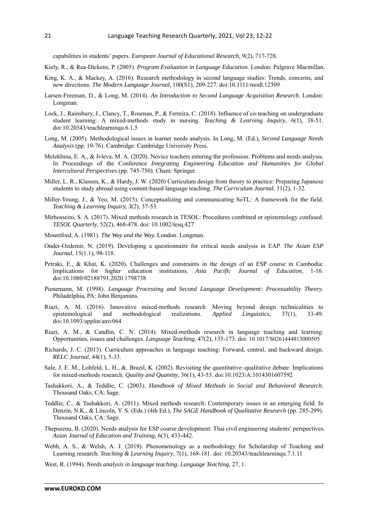capabilities in students' papers. *European Journal of Educational Research*, 9(2), 717-728.

- Kiely, R., & Rea-Dickens, P. (2005). *Program Evaluation in Language Education.* London: Palgrave Macmillan.
- King, K. A., & Mackey, A. (2016). Research methodology in second language studies: Trends, concerns, and new directions. *The Modern Language Journal*, 100(S1), 209-227. doi:10.1111/modl.12309
- Larsen-Freeman, D., & Long, M. (2014). *An Introduction to Second Language Acquisition Research*. London: Longman.
- Lock, J., Rainsbury, J., Clancy, T., Rosenau, P., & Ferreira, C. (2018). Influence of co-teaching on undergraduate student learning: A mixed-methods study in nursing. *Teaching & Learning Inquiry*, 6(1), 38-51. doi:10.20343/teachlearninqu.6.1.5
- Long, M. (2005). Methodological issues in learner needs analysis. In Long, M. (Ed.), *Second Language Needs Analysis* (pp. 19-76). Cambridge: Cambridge University Press.
- Melekhina, E. A., & Ivleva, M. A. (2020). Novice teachers entering the profession: Problems and needs analysis. In Proceedings of the Conference *Integrating Engineering Education and Humanities for Global Intercultural Perspectives* (pp. 745-750). Cham: Springer.
- Miller, L. R., Klassen, K., & Hardy, J. W. (2020) Curriculum design from theory to practice: Preparing Japanese students to study abroad using content-based language teaching. *The Curriculum Journal*, 31(2), 1-32.
- Miller-Young, J., & Yeo, M. (2015). Conceptualizing and communicating SoTL: A framework for the field. *Teaching & Learning Inquiry, 3*(2), 37-53.
- Mirhosseini, S. A. (2017). Mixed methods research in TESOL: Procedures combined or epistemology confused. *TESOL Quarterly*, 52(2), 468-478. doi: 10.1002/tesq.427
- Mountford, A. (1981). *The Way and the Way.* London: Longman.
- Onder-Ozdemir, N. (2019). Developing a questionnaire for critical needs analysis in EAP. *The Asian ESP Journal*, 15(1.1), 98-118.
- Petraki, E., & Khat, K. (2020). Challenges and constraints in the design of an ESP course in Cambodia: Implications for higher education institutions. *Asia Pacific Journal of Education*, 1-16. doi:10.1080/02188791.2020.1798738
- Pienemann, M. (1998). *Language Processing and Second Language Development: Processability Theory*. Philadelphia, PA: John Benjamins.
- Riazi, A. M. (2016). Innovative mixed-methods research: Moving beyond design technicalities to epistemological and methodological realizations. *Applied Linguistics*, 37(1), 33-49. doi:10.1093/applin/amv064
- Riazi, A. M., & Candlin, C. N. (2014). Mixed-methods research in language teaching and learning: Opportunities, issues and challenges. *Language Teaching*, 47(2), 135-173. doi: 10.1017/S0261444813000505
- Richards, J. C. (2013). Curriculum approaches in language teaching: Forward, central, and backward design. *RELC Journal*, 44(1), 5-33.
- Sale, J. E. M., Lohfeld, L. H., &. Brazil, K. (2002). Revisiting the quantitative–qualitative debate: Implications for mixed-methods research. *Quality and Quantity*, 36(1), 43-53. doi:10.1023/A:1014301607592
- Tashakkori, A., & Teddlie, C. (2003). *Handbook of Mixed Methods in Social and Behavioral Research.* Thousand Oaks, CA: Sage.
- Teddlie, C., & Tashakkori, A. (2011). Mixed methods research: Contemporary issues in an emerging field. In Denzin, N.K., & Lincoln, Y. S. (Eds.) (4th Ed.), *The SAGE Handbook of Qualitative Research* (pp. 285-299). Thousand Oaks, CA: Sage.
- Thepseenu, B. (2020). Needs analysis for ESP course development: Thai civil engineering students' perspectives. *Asian Journal of Education and Training*, 6(3), 433-442.
- Webb, A. S., & Welsh, A. J. (2019). Phenomenology as a methodology for Scholarship of Teaching and Learning research. *Teaching & Learning Inquiry*, 7(1), 168-181. doi: 10.20343/teachlearninqu.7.1.11
- West, R. (1994). *Needs analysis in language teaching. Language Teaching*, 27, 1.